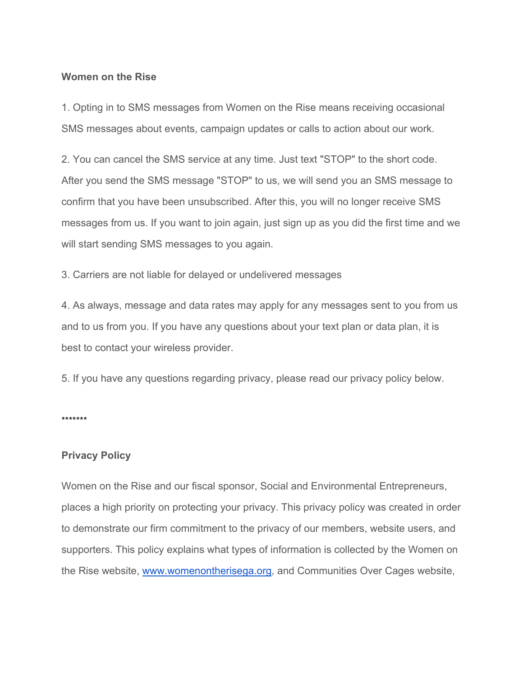### **Women on the Rise**

1. Opting in to SMS messages from Women on the Rise means receiving occasional SMS messages about events, campaign updates or calls to action about our work.

2. You can cancel the SMS service at any time. Just text "STOP" to the short code. After you send the SMS message "STOP" to us, we will send you an SMS message to confirm that you have been unsubscribed. After this, you will no longer receive SMS messages from us. If you want to join again, just sign up as you did the first time and we will start sending SMS messages to you again.

3. Carriers are not liable for delayed or undelivered messages

4. As always, message and data rates may apply for any messages sent to you from us and to us from you. If you have any questions about your text plan or data plan, it is best to contact your wireless provider.

5. If you have any questions regarding privacy, please read our privacy policy below.

\*\*\*\*\*\*\*

### **Privacy Policy**

Women on the Rise and our fiscal sponsor, Social and Environmental Entrepreneurs, places a high priority on protecting your privacy. This privacy policy was created in order to demonstrate our firm commitment to the privacy of our members, website users, and supporters. This policy explains what types of information is collected by the Women on the Rise website, www.womenontherisega.org, and Communities Over Cages website,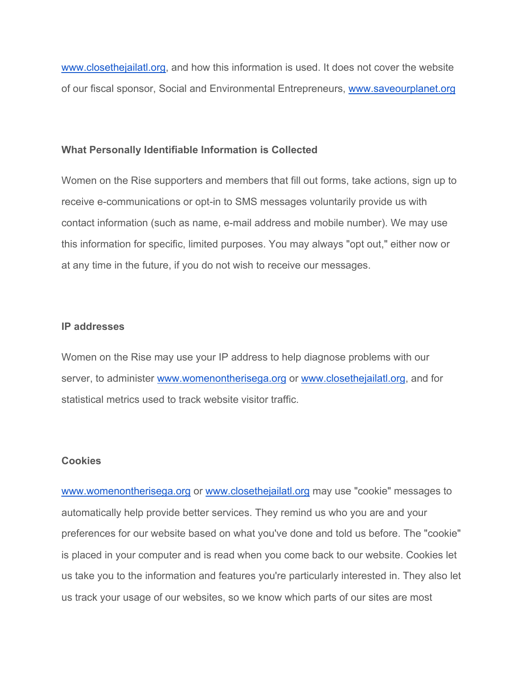www.closethejailatl.org, and how this information is used. It does not cover the website of our fiscal sponsor, Social and Environmental Entrepreneurs, www.saveourplanet.org

#### **What Personally Identifiable Information is Collected**

Women on the Rise supporters and members that fill out forms, take actions, sign up to receive e-communications or opt-in to SMS messages voluntarily provide us with contact information (such as name, e-mail address and mobile number). We may use this information for specific, limited purposes. You may always "opt out," either now or at any time in the future, if you do not wish to receive our messages.

## **IP addresses**

Women on the Rise may use your IP address to help diagnose problems with our server, to administer www.womenontherisega.org or www.closethejailatl.org, and for statistical metrics used to track website visitor traffic.

#### **Cookies**

www.womenontherisega.org or www.closethejailatl.org may use "cookie" messages to automatically help provide better services. They remind us who you are and your preferences for our website based on what you've done and told us before. The "cookie" is placed in your computer and is read when you come back to our website. Cookies let us take you to the information and features you're particularly interested in. They also let us track your usage of our websites, so we know which parts of our sites are most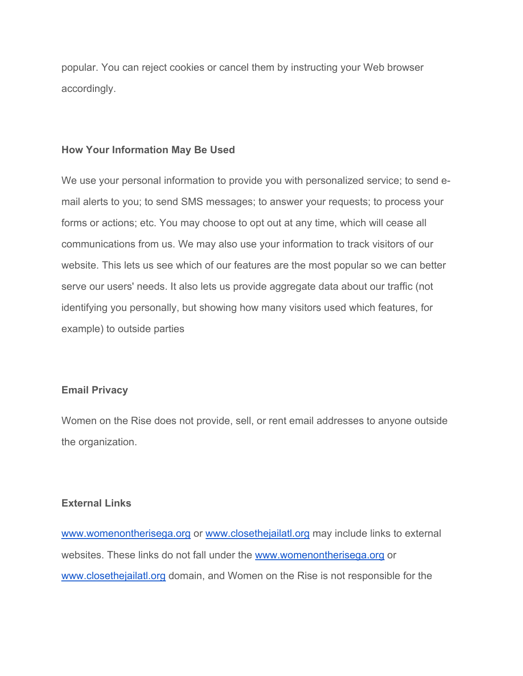popular. You can reject cookies or cancel them by instructing your Web browser accordingly.

#### **How Your Information May Be Used**

We use your personal information to provide you with personalized service; to send email alerts to you; to send SMS messages; to answer your requests; to process your forms or actions; etc. You may choose to opt out at any time, which will cease all communications from us. We may also use your information to track visitors of our website. This lets us see which of our features are the most popular so we can better serve our users' needs. It also lets us provide aggregate data about our traffic (not identifying you personally, but showing how many visitors used which features, for example) to outside parties

## **Email Privacy**

Women on the Rise does not provide, sell, or rent email addresses to anyone outside the organization.

## **External Links**

www.womenontherisega.org or www.closethejailatl.org may include links to external websites. These links do not fall under the www.womenontherisega.org or www.closethejailatl.org domain, and Women on the Rise is not responsible for the